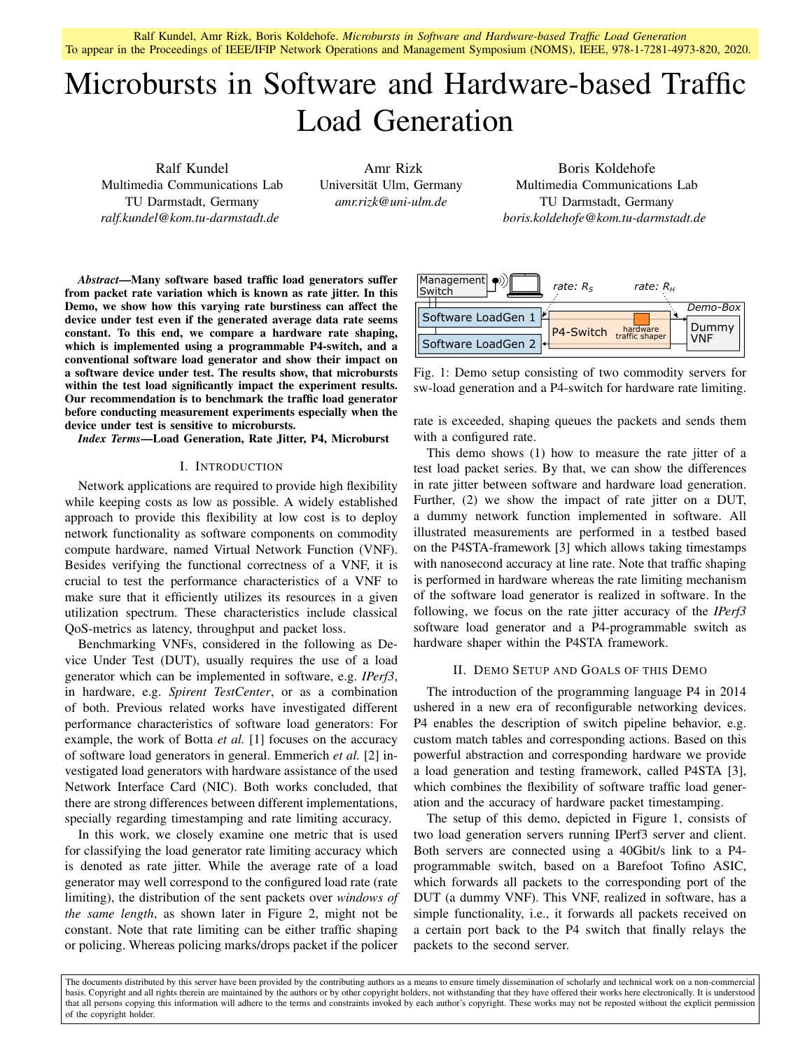Ralf Kundel, Amr Rizk, Boris Koldehofe. *Microbursts in Software and Hardware-based Traffic Load Generation* To appear in the Proceedings of IEEE/IFIP Network Operations and Management Symposium (NOMS), IEEE, 978-1-7281-4973-820, 2020.

# Microbursts in Software and Hardware-based Traffic Load Generation

Ralf Kundel Multimedia Communications Lab TU Darmstadt, Germany *ralf.kundel@kom.tu-darmstadt.de*

Amr Rizk Universität Ulm, Germany *amr.rizk@uni-ulm.de*

Boris Koldehofe Multimedia Communications Lab TU Darmstadt, Germany *boris.koldehofe@kom.tu-darmstadt.de*

*Abstract*—Many software based traffic load generators suffer from packet rate variation which is known as rate jitter. In this Demo, we show how this varying rate burstiness can affect the device under test even if the generated average data rate seems constant. To this end, we compare a hardware rate shaping, which is implemented using a programmable P4-switch, and a conventional software load generator and show their impact on a software device under test. The results show, that microbursts within the test load significantly impact the experiment results. Our recommendation is to benchmark the traffic load generator before conducting measurement experiments especially when the device under test is sensitive to microbursts.

*Index Terms*—Load Generation, Rate Jitter, P4, Microburst

## I. INTRODUCTION

Network applications are required to provide high flexibility while keeping costs as low as possible. A widely established approach to provide this flexibility at low cost is to deploy network functionality as software components on commodity compute hardware, named Virtual Network Function (VNF). Besides verifying the functional correctness of a VNF, it is crucial to test the performance characteristics of a VNF to make sure that it efficiently utilizes its resources in a given utilization spectrum. These characteristics include classical QoS-metrics as latency, throughput and packet loss.

Benchmarking VNFs, considered in the following as Device Under Test (DUT), usually requires the use of a load generator which can be implemented in software, e.g. *IPerf3*, in hardware, e.g. *Spirent TestCenter*, or as a combination of both. Previous related works have investigated different performance characteristics of software load generators: For example, the work of Botta *et al.* [1] focuses on the accuracy of software load generators in general. Emmerich *et al.* [2] investigated load generators with hardware assistance of the used Network Interface Card (NIC). Both works concluded, that there are strong differences between different implementations, specially regarding timestamping and rate limiting accuracy.

In this work, we closely examine one metric that is used for classifying the load generator rate limiting accuracy which is denoted as rate jitter. While the average rate of a load generator may well correspond to the configured load rate (rate limiting), the distribution of the sent packets over *windows of the same length*, as shown later in Figure 2, might not be constant. Note that rate limiting can be either traffic shaping or policing. Whereas policing marks/drops packet if the policer



Fig. 1: Demo setup consisting of two commodity servers for sw-load generation and a P4-switch for hardware rate limiting.

rate is exceeded, shaping queues the packets and sends them with a configured rate.

This demo shows (1) how to measure the rate jitter of a test load packet series. By that, we can show the differences in rate jitter between software and hardware load generation. Further, (2) we show the impact of rate jitter on a DUT, a dummy network function implemented in software. All illustrated measurements are performed in a testbed based on the P4STA-framework [3] which allows taking timestamps with nanosecond accuracy at line rate. Note that traffic shaping is performed in hardware whereas the rate limiting mechanism of the software load generator is realized in software. In the following, we focus on the rate jitter accuracy of the *IPerf3* software load generator and a P4-programmable switch as hardware shaper within the P4STA framework.

## II. DEMO SETUP AND GOALS OF THIS DEMO

The introduction of the programming language P4 in 2014 ushered in a new era of reconfigurable networking devices. P4 enables the description of switch pipeline behavior, e.g. custom match tables and corresponding actions. Based on this powerful abstraction and corresponding hardware we provide a load generation and testing framework, called P4STA [3], which combines the flexibility of software traffic load generation and the accuracy of hardware packet timestamping.

The setup of this demo, depicted in Figure 1, consists of two load generation servers running IPerf3 server and client. Both servers are connected using a 40Gbit/s link to a P4 programmable switch, based on a Barefoot Tofino ASIC, which forwards all packets to the corresponding port of the DUT (a dummy VNF). This VNF, realized in software, has a simple functionality, i.e., it forwards all packets received on a certain port back to the P4 switch that finally relays the packets to the second server.

The documents distributed by this server have been provided by the contributing authors as a means to ensure timely dissemination of scholarly and technical work on a non-commercial basis. Copyright and all rights therein are maintained by the authors or by other copyright holders, not withstanding that they have offered their works here electronically. It is understood that all persons copying this information will adhere to the terms and constraints invoked by each author's copyright. These works may not be reposted without the explicit permission of the copyright holder.